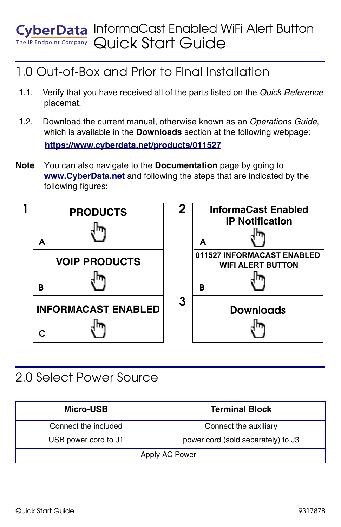#### InformaCast Enabled WiFi Alert Button berData Quick Start GuideThe IP Endpoint Company

# 1.0 Out-of-Box and Prior to Final Installation

- 1.1. Verify that you have received all of the parts listed on the *Quick Reference* placemat.
- 1.2. Download the current manual, otherwise known as an *Operations Guide*, which is available in the **Downloads** section at the following webpage: **<https://www.cyberdata.net/products/011527>**
- **Note** You can also navigate to the **Documentation** page by going to **<www.CyberData.net>** and following the steps that are indicated by the following figures:



## 2.0 Select Power Source

| Micro-USB            | <b>Terminal Block</b>              |
|----------------------|------------------------------------|
| Connect the included | Connect the auxiliary              |
| USB power cord to J1 | power cord (sold separately) to J3 |
| Apply AC Power       |                                    |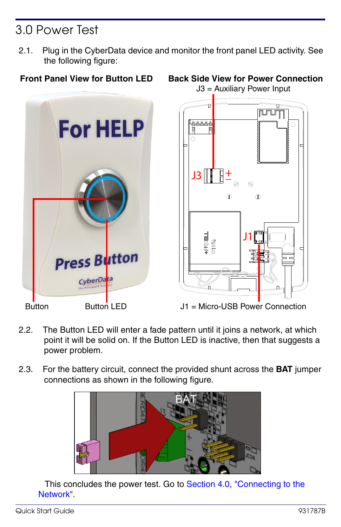# 3.0 Power Test

2.1. Plug in the CyberData device and monitor the front panel LED activity. See the following figure:







Button Button LED J1 = Micro-USB Power Connection

- 2.2. The Button LED will enter a fade pattern until it joins a network, at which point it will be solid on. If the Button LED is inactive, then that suggests a power problem.
- 2.3. For the battery circuit, connect the provided shunt across the **BAT** jumper connections as shown in the following figure.



This concludes the power test. Go to Section 4.0, "Connecting to the [Network".](#page-2-0)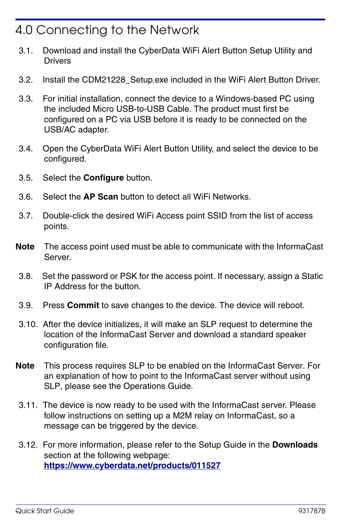## <span id="page-2-0"></span>4.0 Connecting to the Network

- 3.1. Download and install the CyberData WiFi Alert Button Setup Utility and Drivers
- 3.2. Install the CDM21228\_Setup.exe included in the WiFi Alert Button Driver.
- 3.3. For initial installation, connect the device to a Windows-based PC using the included Micro USB-to-USB Cable. The product must first be configured on a PC via USB before it is ready to be connected on the USB/AC adapter.
- 3.4. Open the CyberData WiFi Alert Button Utility, and select the device to be configured.
- 3.5. Select the **Configure** button.
- 3.6. Select the **AP Scan** button to detect all WiFi Networks.
- 3.7. Double-click the desired WiFi Access point SSID from the list of access points.
- **Note** The access point used must be able to communicate with the InformaCast Server.
- 3.8. Set the password or PSK for the access point. If necessary, assign a Static IP Address for the button.
- 3.9. Press **Commit** to save changes to the device. The device will reboot.
- 3.10. After the device initializes, it will make an SLP request to determine the location of the InformaCast Server and download a standard speaker configuration file.
- **Note** This process requires SLP to be enabled on the InformaCast Server. For an explanation of how to point to the InformaCast server without using SLP, please see the Operations Guide.
- 3.11. The device is now ready to be used with the InformaCast server. Please follow instructions on setting up a M2M relay on InformaCast, so a message can be triggered by the device.
- 3.12. For more information, please refer to the Setup Guide in the **Downloads** section at the following webpage: **<https://www.cyberdata.net/products/011527>**